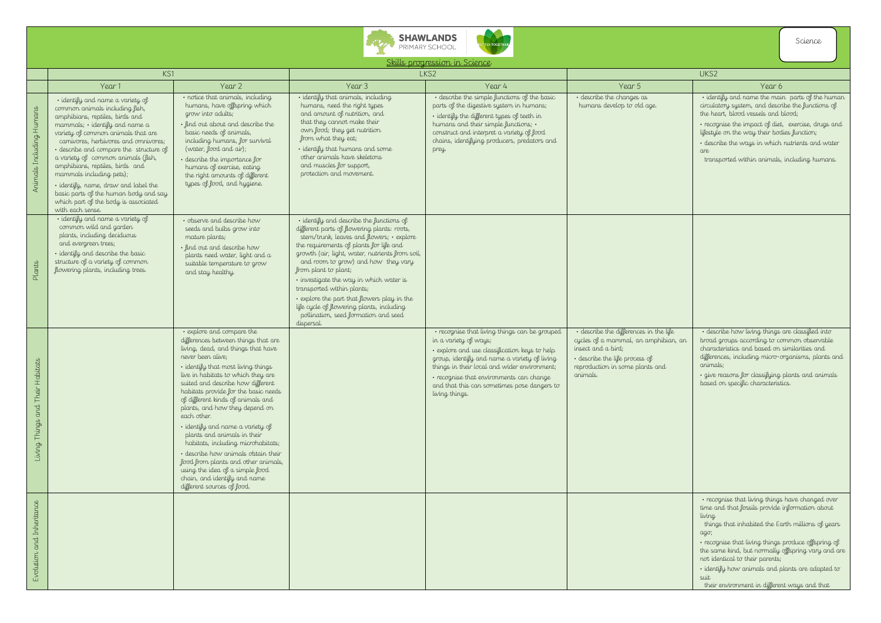



Skills progression in Science

|                                        | KS1                                                                                                                                                                                                                                                                                                                                                                                                                                                                                                                 |                                                                                                                                                                                                                                                                                                                                                                                                                                                                                                                                                                                                                                                                    | LKS2                                                                                                                                                                                                                                                                                                                                                                                                                                                                                                                         |                                                                                                                                                                                                                                                                                                                                      | UKS2                                                                                                                                                                                  |                                                                                                                                                                                                                                                                                                |
|----------------------------------------|---------------------------------------------------------------------------------------------------------------------------------------------------------------------------------------------------------------------------------------------------------------------------------------------------------------------------------------------------------------------------------------------------------------------------------------------------------------------------------------------------------------------|--------------------------------------------------------------------------------------------------------------------------------------------------------------------------------------------------------------------------------------------------------------------------------------------------------------------------------------------------------------------------------------------------------------------------------------------------------------------------------------------------------------------------------------------------------------------------------------------------------------------------------------------------------------------|------------------------------------------------------------------------------------------------------------------------------------------------------------------------------------------------------------------------------------------------------------------------------------------------------------------------------------------------------------------------------------------------------------------------------------------------------------------------------------------------------------------------------|--------------------------------------------------------------------------------------------------------------------------------------------------------------------------------------------------------------------------------------------------------------------------------------------------------------------------------------|---------------------------------------------------------------------------------------------------------------------------------------------------------------------------------------|------------------------------------------------------------------------------------------------------------------------------------------------------------------------------------------------------------------------------------------------------------------------------------------------|
|                                        | Year 1                                                                                                                                                                                                                                                                                                                                                                                                                                                                                                              | Year 2                                                                                                                                                                                                                                                                                                                                                                                                                                                                                                                                                                                                                                                             | Year 3                                                                                                                                                                                                                                                                                                                                                                                                                                                                                                                       | Year 4                                                                                                                                                                                                                                                                                                                               | Year 5                                                                                                                                                                                | Year 6                                                                                                                                                                                                                                                                                         |
| Animals Including Humans               | · identify and name a variety of<br>common animals including fish,<br>amphibians, reptiles, birds and<br>mammals; · identify and name a<br>variety of common animals that are<br>carnivores, herbivores and omnivores;<br>· describe and compare the structure of<br>a variety of common animals (fish,<br>amphibians, reptiles, birds and<br>mammals including pets);<br>· identify, name, draw and label the<br>basic parts of the human body and say<br>which part of the body is associated<br>with each sense. | · notice that animals, including<br>humans, have offspring which<br>grow into adults;<br>· find out about and describe the<br>basic needs of animals,<br>including humans, for survival<br>(water, food and air);<br>· describe the importance for<br>humans of exercise, eating<br>the right amounts of different<br>types of food, and hygiene.                                                                                                                                                                                                                                                                                                                  | · identify that animals, including<br>humans, need the right types<br>and amount of nutrition, and<br>that they cannot make their<br>own food; they get nutrition<br>from what they eat;<br>· identify that humans and some<br>other animals have skeletons<br>and muscles for support,<br>protection and movement.                                                                                                                                                                                                          | · describe the simple functions of the basic<br>parts of the digestive system in humans;<br>· identify the different types of teeth in<br>humans and their simple functions; .<br>construct and interpret a variety of food<br>chains, identifying producers, predators and<br>prey.                                                 | · describe the changes as<br>humans develop to old age.                                                                                                                               | · identify and name the mai<br>circulatory system, and descr<br>the heart, blood vessels and<br>· recognise the impact of diet<br>lifestyle on the way their boo<br>· describe the ways in which<br>are<br>transported within animals,                                                         |
| Plants                                 | · identify and name a variety of<br>common wild and garden<br>plants, including deciduous<br>and evergreen trees;<br>· identify and describe the basic<br>structure of a variety of common<br>flowering plants, including trees.                                                                                                                                                                                                                                                                                    | · observe and describe how<br>seeds and bulbs grow into<br>mature plants;<br>· find out and describe how<br>plants need water, light and a<br>suitable temperature to grow<br>and stay healthy.                                                                                                                                                                                                                                                                                                                                                                                                                                                                    | · identify and describe the functions of<br>different parts of flowering plants: roots,<br>stem/trunk, leaves and flowers; · explore<br>the requirements of plants for life and<br>growth (air, light, water, nutrients from soil,<br>and room to grow) and how they vary<br>from plant to plant;<br>· investigate the way in which water is<br>transported within plants;<br>· explore the part that flowers play in the<br>life cycle of flowering plants, including<br>pollination, seed formation and seed<br>dispersal. |                                                                                                                                                                                                                                                                                                                                      |                                                                                                                                                                                       |                                                                                                                                                                                                                                                                                                |
| Their Habitats<br>and<br>Living Things |                                                                                                                                                                                                                                                                                                                                                                                                                                                                                                                     | • explore and compare the<br>differences between things that are<br>living, dead, and things that have<br>never been alive;<br>· identify that most living things<br>live in habitats to which they are<br>suited and describe how different<br>habitats provide for the basic needs<br>of different kinds of animals and<br>plants, and how they depend on<br>each other.<br>· identify and name a variety of<br>plants and animals in their<br>habitats, including microhabitats;<br>· describe how animals obtain their<br>food from plants and other animals,<br>using the idea of a simple food<br>chain, and identify and name<br>different sources of food. |                                                                                                                                                                                                                                                                                                                                                                                                                                                                                                                              | · recognise that living things can be grouped<br>in a variety of ways;<br>· explore and use classification keys to help<br>group, identify and name a variety of living<br>things in their local and wider environment;<br>· recognise that environments can change<br>and that this can sometimes pose dangers to<br>living things. | · describe the differences in the life<br>cycles of a mammal, an amphibian, an<br>insect and a bird;<br>· describe the life process of<br>reproduction in some plants and<br>animals. | · describe how living things<br>broad groups according to co<br>characteristics and based on<br>differences, including micro-c<br>animals;<br>· give reasons for classifying<br>based on specific characterist                                                                                 |
| Evolution and Inheritance              |                                                                                                                                                                                                                                                                                                                                                                                                                                                                                                                     |                                                                                                                                                                                                                                                                                                                                                                                                                                                                                                                                                                                                                                                                    |                                                                                                                                                                                                                                                                                                                                                                                                                                                                                                                              |                                                                                                                                                                                                                                                                                                                                      |                                                                                                                                                                                       | · recognise that living things<br>time and that fossils provide<br>living<br>things that inhabited the Ec<br>ago;<br>· recognise that living things<br>the same kind, but normally<br>not identical to their parents;<br>· identify how animals and p<br>suit<br>their environment in differer |

|                  | UKS2                                                                                                                                                                                                                                                                                                                                                                                                                                   |
|------------------|----------------------------------------------------------------------------------------------------------------------------------------------------------------------------------------------------------------------------------------------------------------------------------------------------------------------------------------------------------------------------------------------------------------------------------------|
|                  | Year 6                                                                                                                                                                                                                                                                                                                                                                                                                                 |
|                  | · identify and name the main parts of the human<br>circulatory system, and describe the functions of<br>the heart, blood vessels and blood;<br>· recognise the impact of diet, exercise, drugs and<br>lifestyle on the way their bodies function;<br>· describe the ways in which nutrients and water<br>are<br>transported within animals, including humans.                                                                          |
|                  |                                                                                                                                                                                                                                                                                                                                                                                                                                        |
|                  |                                                                                                                                                                                                                                                                                                                                                                                                                                        |
| life<br>iian, an | · describe how living things are classified into<br>broad groups according to common observable<br>characteristics and based on similarities and<br>differences, including micro-organisms, plants and<br>animals;<br>· give reasons for classifying plants and animals<br>based on specific characteristics.                                                                                                                          |
|                  | • recognise that living things have changed over<br>time and that fossils provide information about<br>living<br>things that inhabited the Earth millions of years<br>ago;<br>· recognise that living things produce offspring of<br>the same kind, but normally offspring vary and are<br>not identical to their parents;<br>· identify how animals and plants are adapted to<br>suit<br>their environment in different ways and that |

Science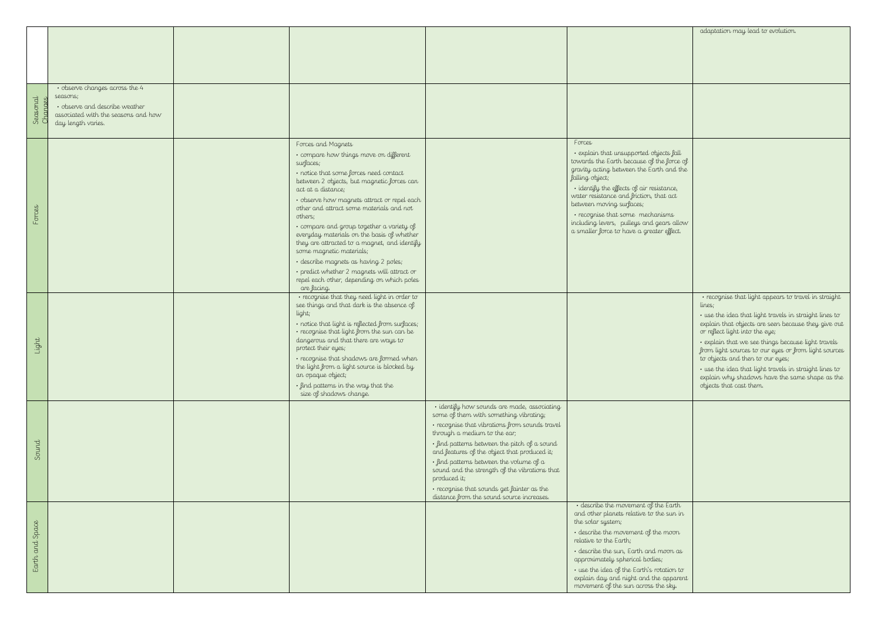|                    | adaptation may lead to evolution.                                                        |
|--------------------|------------------------------------------------------------------------------------------|
|                    |                                                                                          |
|                    |                                                                                          |
|                    |                                                                                          |
|                    |                                                                                          |
|                    |                                                                                          |
|                    |                                                                                          |
|                    |                                                                                          |
|                    |                                                                                          |
|                    |                                                                                          |
| s fall<br>force of |                                                                                          |
| and the            |                                                                                          |
| nce,               |                                                                                          |
| act                |                                                                                          |
| ns                 |                                                                                          |
| s allow            |                                                                                          |
| effect.            |                                                                                          |
|                    |                                                                                          |
|                    |                                                                                          |
|                    |                                                                                          |
|                    |                                                                                          |
|                    | · recognise that light appears to travel in straight<br>lines;                           |
|                    | · use the idea that light travels in straight lines to                                   |
|                    | explain that objects are seen because they give out<br>or reflect light into the eye;    |
|                    | · explain that we see things because light travels                                       |
|                    | from light sources to our eyes or from light sources<br>to objects and then to our eyes; |
|                    | · use the idea that light travels in straight lines to                                   |
|                    | explain why shadows have the same shape as the<br>objects that cast them.                |
|                    |                                                                                          |
|                    |                                                                                          |
|                    |                                                                                          |
|                    |                                                                                          |
|                    |                                                                                          |
|                    |                                                                                          |
|                    |                                                                                          |
|                    |                                                                                          |
| $E$ arth           |                                                                                          |
| sun in             |                                                                                          |
| won                |                                                                                          |
| on as              |                                                                                          |
| ion to             |                                                                                          |
| pparent<br>sky.    |                                                                                          |
|                    |                                                                                          |

| Seasonal<br>Chanaes | · observe changes across the 4<br>seasons;<br>· observe and describe weather<br>associated with the seasons and how<br>day length varies. |                                                                                                                                                                                                                                                                                                                                                                                                                                                                                                                                                                                                                           |                                                                                                                                                                                                                                                                                                                                                                                                                                                                                |                                                                                                                                                                                                                                                                                                                                                                                                                 |
|---------------------|-------------------------------------------------------------------------------------------------------------------------------------------|---------------------------------------------------------------------------------------------------------------------------------------------------------------------------------------------------------------------------------------------------------------------------------------------------------------------------------------------------------------------------------------------------------------------------------------------------------------------------------------------------------------------------------------------------------------------------------------------------------------------------|--------------------------------------------------------------------------------------------------------------------------------------------------------------------------------------------------------------------------------------------------------------------------------------------------------------------------------------------------------------------------------------------------------------------------------------------------------------------------------|-----------------------------------------------------------------------------------------------------------------------------------------------------------------------------------------------------------------------------------------------------------------------------------------------------------------------------------------------------------------------------------------------------------------|
| Forces              |                                                                                                                                           | Forces and Magnets<br>· compare how things move on different<br>surfaces;<br>· notice that some forces need contact<br>between 2 objects, but magnetic forces can<br>act at a distance;<br>· observe how magnets attract or repel each<br>other and attract some materials and not<br>others;<br>· compare and group together a variety of<br>everyday materials on the basis of whether<br>they are attracted to a magnet, and identify<br>some magnetic materials;<br>· describe magnets as having 2 poles;<br>· predict whether 2 magnets will attract or<br>repel each other, depending on which poles<br>are facing. |                                                                                                                                                                                                                                                                                                                                                                                                                                                                                | Forces<br>· explain that unsupported objects fall<br>towards the Earth because of the force of<br>gravity acting between the Earth and the<br>falling object;<br>· identify the effects of air resistance,<br>water resistance and friction, that act<br>between moving surfaces;<br>· recognise that some mechanisms<br>including levers, pulleys and gears allow<br>a smaller force to have a greater effect. |
| Light               |                                                                                                                                           | · recognise that they need light in order to<br>see things and that dark is the absence of<br>light;<br>· notice that light is reflected from surfaces;<br>· recognise that light from the sun can be<br>dangerous and that there are ways to<br>protect their eyes;<br>· recognise that shadows are formed when<br>the light from a light source is blocked by<br>an opaque object;<br>· find patterns in the way that the<br>size of shadows change.                                                                                                                                                                    |                                                                                                                                                                                                                                                                                                                                                                                                                                                                                |                                                                                                                                                                                                                                                                                                                                                                                                                 |
| Sound               |                                                                                                                                           |                                                                                                                                                                                                                                                                                                                                                                                                                                                                                                                                                                                                                           | · identify how sounds are made, associating<br>some of them with something vibrating;<br>· recognise that vibrations from sounds travel<br>through a medium to the ear;<br>· find patterns between the pitch of a sound<br>and features of the object that produced it;<br>· find patterns between the volume of a<br>sound and the strength of the vibrations that<br>produced it;<br>· recognise that sounds get fainter as the<br>distance from the sound source increases. |                                                                                                                                                                                                                                                                                                                                                                                                                 |
| Earth and Space     |                                                                                                                                           |                                                                                                                                                                                                                                                                                                                                                                                                                                                                                                                                                                                                                           |                                                                                                                                                                                                                                                                                                                                                                                                                                                                                | · describe the movement of the Earth<br>and other planets relative to the sun in<br>the solar system;<br>· describe the movement of the moon<br>relative to the Earth;<br>· describe the sun, Earth and moon as<br>approximately spherical bodies;<br>· use the idea of the Earth's rotation to<br>explain day and night and the apparent<br>movement of the sun across the sky.                                |